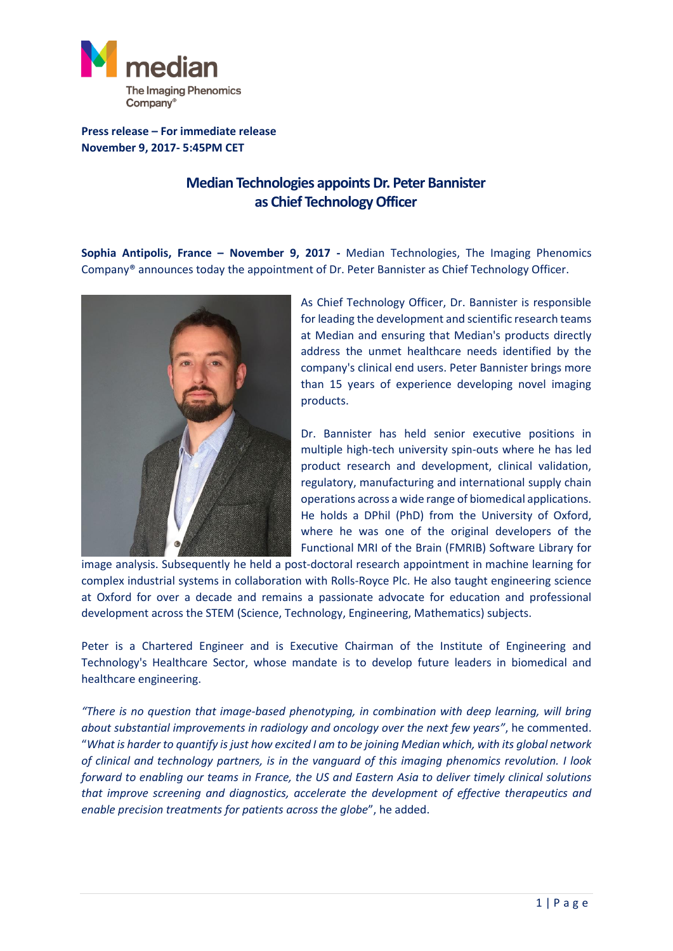

**Press release – For immediate release November 9, 2017- 5:45PM CET**

## **Median Technologies appoints Dr. Peter Bannister as Chief Technology Officer**

**Sophia Antipolis, France – November 9, 2017 -** Median Technologies, The Imaging Phenomics Company® announces today the appointment of Dr. Peter Bannister as Chief Technology Officer.



As Chief Technology Officer, Dr. Bannister is responsible for leading the development and scientific research teams at Median and ensuring that Median's products directly address the unmet healthcare needs identified by the company's clinical end users. Peter Bannister brings more than 15 years of experience developing novel imaging products.

Dr. Bannister has held senior executive positions in multiple high-tech university spin-outs where he has led product research and development, clinical validation, regulatory, manufacturing and international supply chain operations across a wide range of biomedical applications. He holds a DPhil (PhD) from the University of Oxford, where he was one of the original developers of the Functional MRI of the Brain (FMRIB) Software Library for

image analysis. Subsequently he held a post-doctoral research appointment in machine learning for complex industrial systems in collaboration with Rolls-Royce Plc. He also taught engineering science at Oxford for over a decade and remains a passionate advocate for education and professional development across the STEM (Science, Technology, Engineering, Mathematics) subjects.

Peter is a Chartered Engineer and is Executive Chairman of the Institute of Engineering and Technology's Healthcare Sector, whose mandate is to develop future leaders in biomedical and healthcare engineering.

*"There is no question that image-based phenotyping, in combination with deep learning, will bring about substantial improvements in radiology and oncology over the next few years"*, he commented. "*What is harder to quantify is just how excited I am to be joining Median which, with its global network of clinical and technology partners, is in the vanguard of this imaging phenomics revolution. I look forward to enabling our teams in France, the US and Eastern Asia to deliver timely clinical solutions that improve screening and diagnostics, accelerate the development of effective therapeutics and enable precision treatments for patients across the globe*", he added.